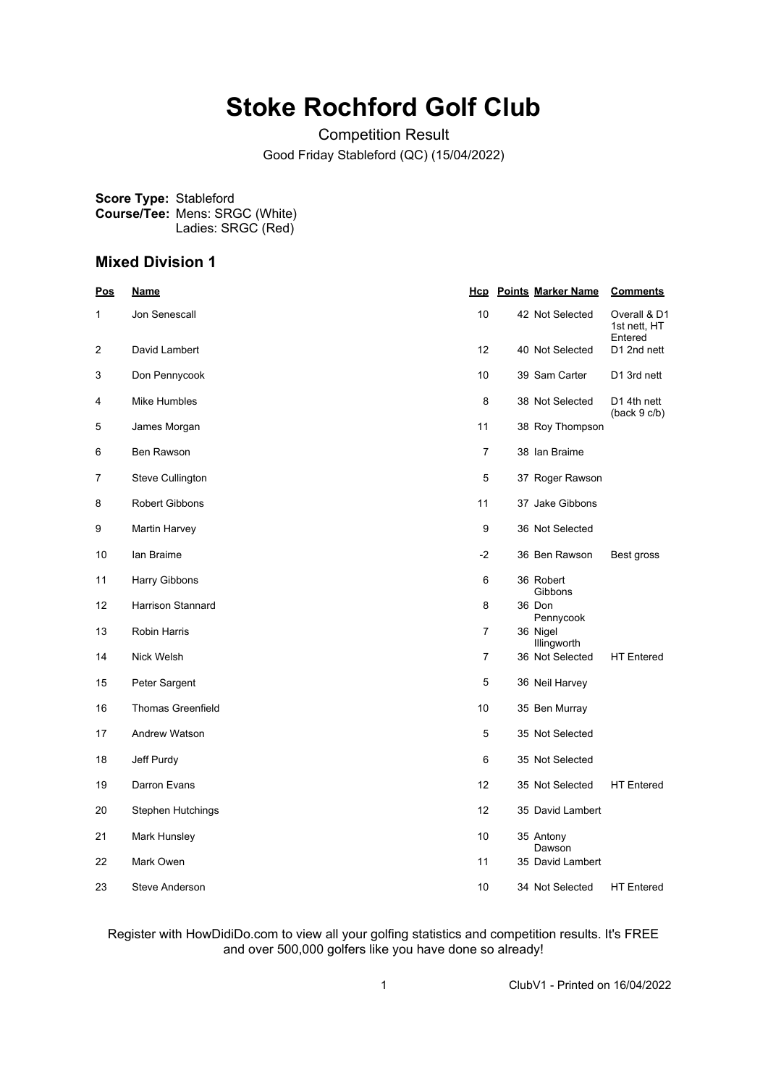# **Stoke Rochford Golf Club**

Competition Result Good Friday Stableford (QC) (15/04/2022)

**Score Type:** Stableford **Course/Tee:** Mens: SRGC (White) Ladies: SRGC (Red)

# **Mixed Division 1**

| <u>Pos</u> | <u>Name</u>              | <u>Hcp</u>     | <b>Points Marker Name</b> | <b>Comments</b>                         |
|------------|--------------------------|----------------|---------------------------|-----------------------------------------|
| 1          | Jon Senescall            | 10             | 42 Not Selected           | Overall & D1<br>1st nett, HT<br>Entered |
| 2          | David Lambert            | 12             | 40 Not Selected           | D1 2nd nett                             |
| 3          | Don Pennycook            | 10             | 39 Sam Carter             | D1 3rd nett                             |
| 4          | Mike Humbles             | 8              | 38 Not Selected           | D <sub>1</sub> 4th nett<br>(back 9 c/b) |
| 5          | James Morgan             | 11             | 38 Roy Thompson           |                                         |
| 6          | Ben Rawson               | 7              | 38 Ian Braime             |                                         |
| 7          | Steve Cullington         | 5              | 37 Roger Rawson           |                                         |
| 8          | <b>Robert Gibbons</b>    | 11             | 37 Jake Gibbons           |                                         |
| 9          | Martin Harvey            | 9              | 36 Not Selected           |                                         |
| 10         | lan Braime               | $-2$           | 36 Ben Rawson             | Best gross                              |
| 11         | Harry Gibbons            | 6              | 36 Robert<br>Gibbons      |                                         |
| 12         | Harrison Stannard        | 8              | 36 Don<br>Pennycook       |                                         |
| 13         | Robin Harris             | $\overline{7}$ | 36 Nigel<br>Illingworth   |                                         |
| 14         | Nick Welsh               | $\overline{7}$ | 36 Not Selected           | <b>HT</b> Entered                       |
| 15         | Peter Sargent            | 5              | 36 Neil Harvey            |                                         |
| 16         | <b>Thomas Greenfield</b> | 10             | 35 Ben Murray             |                                         |
| 17         | <b>Andrew Watson</b>     | 5              | 35 Not Selected           |                                         |
| 18         | Jeff Purdy               | 6              | 35 Not Selected           |                                         |
| 19         | Darron Evans             | 12             | 35 Not Selected           | <b>HT</b> Entered                       |
| 20         | <b>Stephen Hutchings</b> | 12             | 35 David Lambert          |                                         |
| 21         | Mark Hunsley             | 10             | 35 Antony<br>Dawson       |                                         |
| 22         | Mark Owen                | 11             | 35 David Lambert          |                                         |
| 23         | Steve Anderson           | 10             | 34 Not Selected           | <b>HT</b> Entered                       |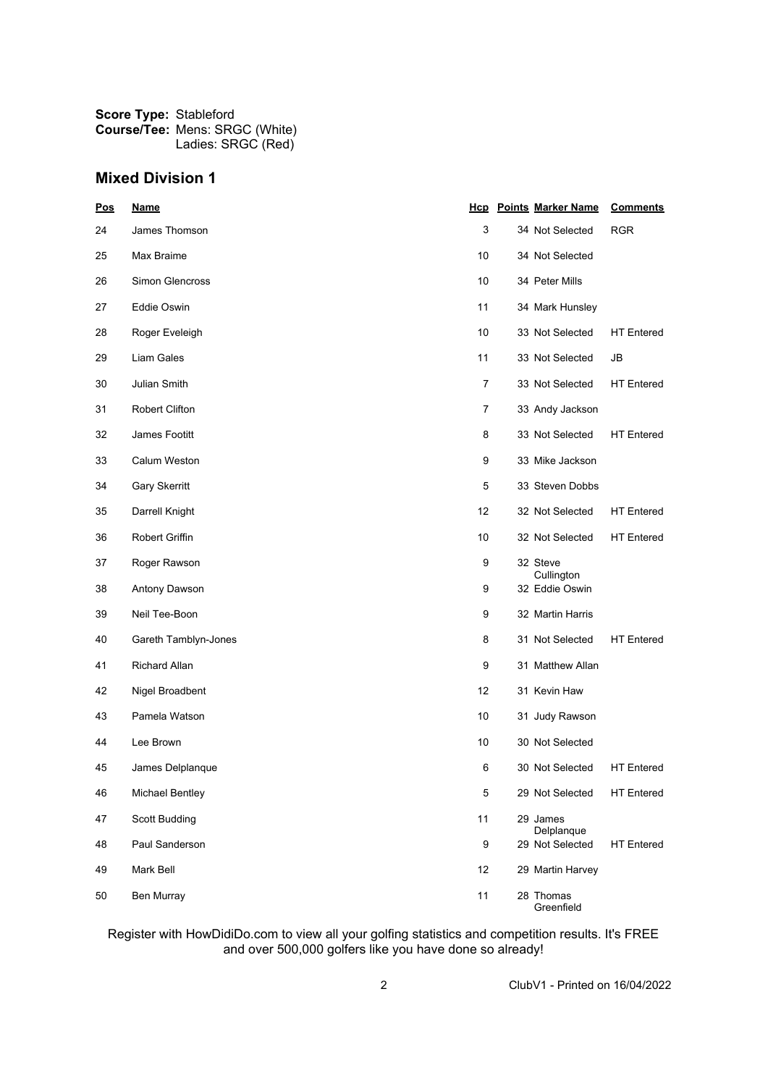| Pos | <u>Name</u>            |                | <b>Hcp</b> Points Marker Name | <b>Comments</b>   |
|-----|------------------------|----------------|-------------------------------|-------------------|
| 24  | James Thomson          | 3              | 34 Not Selected               | <b>RGR</b>        |
| 25  | Max Braime             | 10             | 34 Not Selected               |                   |
| 26  | Simon Glencross        | 10             | 34 Peter Mills                |                   |
| 27  | Eddie Oswin            | 11             | 34 Mark Hunsley               |                   |
| 28  | Roger Eveleigh         | 10             | 33 Not Selected               | <b>HT</b> Entered |
| 29  | Liam Gales             | 11             | 33 Not Selected               | JB                |
| 30  | <b>Julian Smith</b>    | $\overline{7}$ | 33 Not Selected               | <b>HT</b> Entered |
| 31  | <b>Robert Clifton</b>  | 7              | 33 Andy Jackson               |                   |
| 32  | James Footitt          | 8              | 33 Not Selected               | <b>HT</b> Entered |
| 33  | Calum Weston           | 9              | 33 Mike Jackson               |                   |
| 34  | Gary Skerritt          | 5              | 33 Steven Dobbs               |                   |
| 35  | Darrell Knight         | 12             | 32 Not Selected               | <b>HT</b> Entered |
| 36  | <b>Robert Griffin</b>  | 10             | 32 Not Selected               | <b>HT</b> Entered |
| 37  | Roger Rawson           | 9              | 32 Steve<br>Cullington        |                   |
| 38  | Antony Dawson          | 9              | 32 Eddie Oswin                |                   |
| 39  | Neil Tee-Boon          | 9              | 32 Martin Harris              |                   |
| 40  | Gareth Tamblyn-Jones   | 8              | 31 Not Selected               | <b>HT</b> Entered |
| 41  | <b>Richard Allan</b>   | 9              | 31 Matthew Allan              |                   |
| 42  | Nigel Broadbent        | 12             | 31 Kevin Haw                  |                   |
| 43  | Pamela Watson          | 10             | 31 Judy Rawson                |                   |
| 44  | Lee Brown              | 10             | 30 Not Selected               |                   |
| 45  | James Delplanque       | 6              | 30 Not Selected               | <b>HT</b> Entered |
| 46  | <b>Michael Bentley</b> | 5              | 29 Not Selected               | <b>HT Entered</b> |
| 47  | <b>Scott Budding</b>   | 11             | 29 James<br>Delplanque        |                   |
| 48  | Paul Sanderson         | 9              | 29 Not Selected               | <b>HT</b> Entered |
| 49  | Mark Bell              | 12             | 29 Martin Harvey              |                   |
| 50  | <b>Ben Murray</b>      | 11             | 28 Thomas<br>Greenfield       |                   |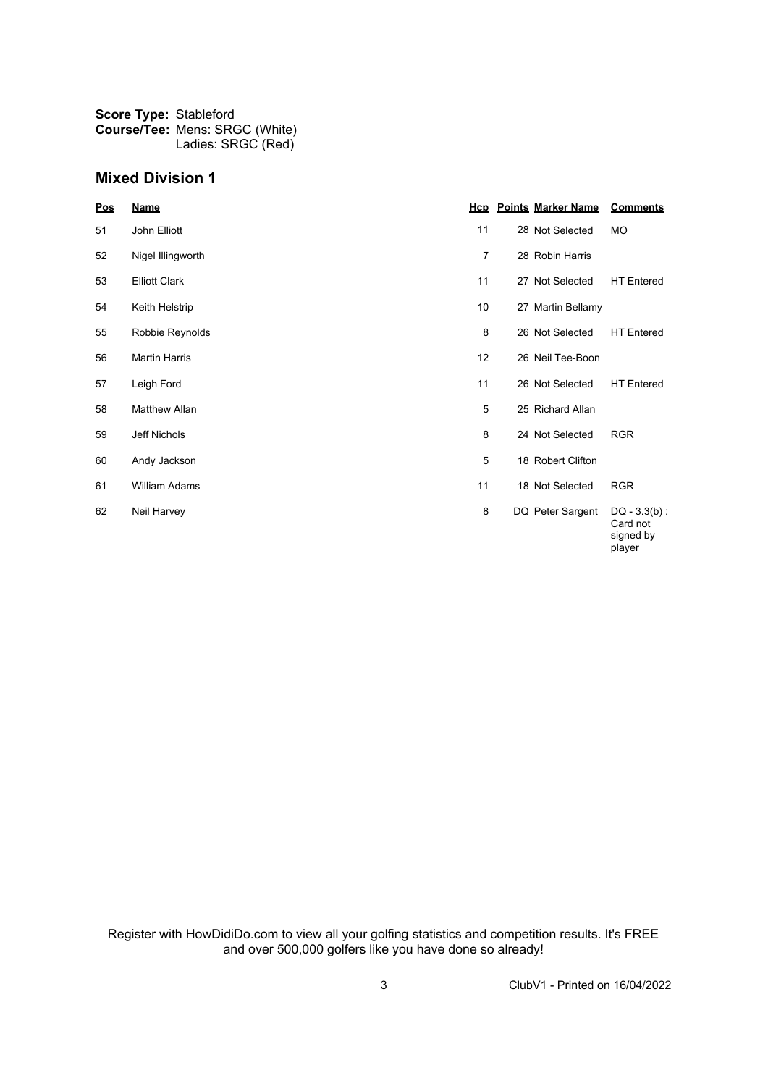| Pos | <b>Name</b>          |                 | <b>Hcp</b> Points Marker Name | <b>Comments</b>                                    |
|-----|----------------------|-----------------|-------------------------------|----------------------------------------------------|
| 51  | John Elliott         | 11              | 28 Not Selected               | <b>MO</b>                                          |
| 52  | Nigel Illingworth    | 7               | 28 Robin Harris               |                                                    |
| 53  | <b>Elliott Clark</b> | 11              | 27 Not Selected               | <b>HT</b> Entered                                  |
| 54  | Keith Helstrip       | 10              | 27 Martin Bellamy             |                                                    |
| 55  | Robbie Reynolds      | 8               | 26 Not Selected               | <b>HT</b> Entered                                  |
| 56  | <b>Martin Harris</b> | 12 <sup>2</sup> | 26 Neil Tee-Boon              |                                                    |
| 57  | Leigh Ford           | 11              | 26 Not Selected               | <b>HT</b> Entered                                  |
| 58  | <b>Matthew Allan</b> | 5               | 25 Richard Allan              |                                                    |
| 59  | Jeff Nichols         | 8               | 24 Not Selected               | <b>RGR</b>                                         |
| 60  | Andy Jackson         | 5               | 18 Robert Clifton             |                                                    |
| 61  | <b>William Adams</b> | 11              | 18 Not Selected               | <b>RGR</b>                                         |
| 62  | Neil Harvey          | 8               | DQ Peter Sargent              | $DQ - 3.3(b)$ :<br>Card not<br>signed by<br>player |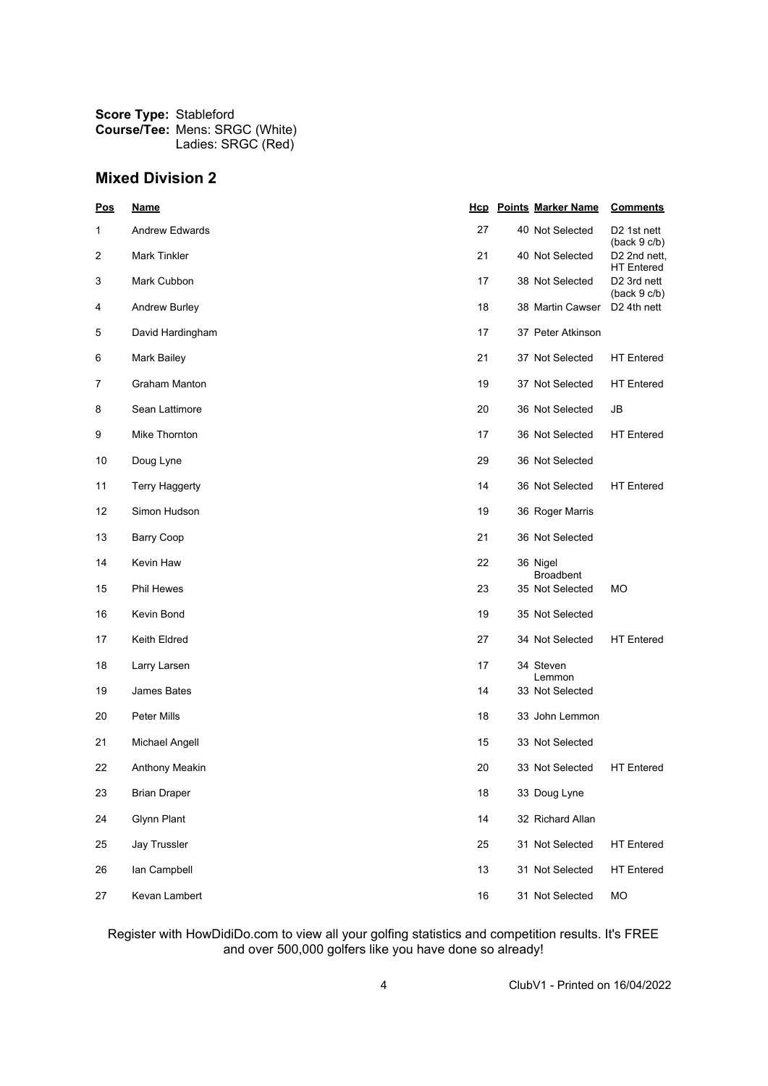| <u>Pos</u> | <u>Name</u>           |    | <b>Hcp</b> Points Marker Name | <b>Comments</b>                               |
|------------|-----------------------|----|-------------------------------|-----------------------------------------------|
| 1          | Andrew Edwards        | 27 | 40 Not Selected               | D <sub>2</sub> 1st nett<br>(back 9 c/b)       |
| 2          | Mark Tinkler          | 21 | 40 Not Selected               | D <sub>2</sub> 2nd nett,<br><b>HT</b> Entered |
| 3          | Mark Cubbon           | 17 | 38 Not Selected               | D <sub>2</sub> 3rd nett<br>(back 9 c/b)       |
| 4          | <b>Andrew Burley</b>  | 18 | 38 Martin Cawser              | D <sub>2</sub> 4th nett                       |
| 5          | David Hardingham      | 17 | 37 Peter Atkinson             |                                               |
| 6          | Mark Bailey           | 21 | 37 Not Selected               | <b>HT</b> Entered                             |
| 7          | Graham Manton         | 19 | 37 Not Selected               | <b>HT</b> Entered                             |
| 8          | Sean Lattimore        | 20 | 36 Not Selected               | JB                                            |
| 9          | Mike Thornton         | 17 | 36 Not Selected               | <b>HT</b> Entered                             |
| 10         | Doug Lyne             | 29 | 36 Not Selected               |                                               |
| 11         | <b>Terry Haggerty</b> | 14 | 36 Not Selected               | <b>HT</b> Entered                             |
| 12         | Simon Hudson          | 19 | 36 Roger Marris               |                                               |
| 13         | <b>Barry Coop</b>     | 21 | 36 Not Selected               |                                               |
| 14         | Kevin Haw             | 22 | 36 Nigel<br><b>Broadbent</b>  |                                               |
| 15         | Phil Hewes            | 23 | 35 Not Selected               | МO                                            |
| 16         | Kevin Bond            | 19 | 35 Not Selected               |                                               |
| 17         | Keith Eldred          | 27 | 34 Not Selected               | <b>HT</b> Entered                             |
| 18         | Larry Larsen          | 17 | 34 Steven<br>Lemmon           |                                               |
| 19         | James Bates           | 14 | 33 Not Selected               |                                               |
| 20         | Peter Mills           | 18 | 33 John Lemmon                |                                               |
| 21         | Michael Angell        | 15 | 33 Not Selected               |                                               |
| 22         | Anthony Meakin        | 20 | 33 Not Selected               | <b>HT</b> Entered                             |
| 23         | <b>Brian Draper</b>   | 18 | 33 Doug Lyne                  |                                               |
| 24         | <b>Glynn Plant</b>    | 14 | 32 Richard Allan              |                                               |
| 25         | <b>Jay Trussler</b>   | 25 | 31 Not Selected               | <b>HT Entered</b>                             |
| 26         | lan Campbell          | 13 | 31 Not Selected               | <b>HT Entered</b>                             |
| 27         | Kevan Lambert         | 16 | 31 Not Selected               | MO                                            |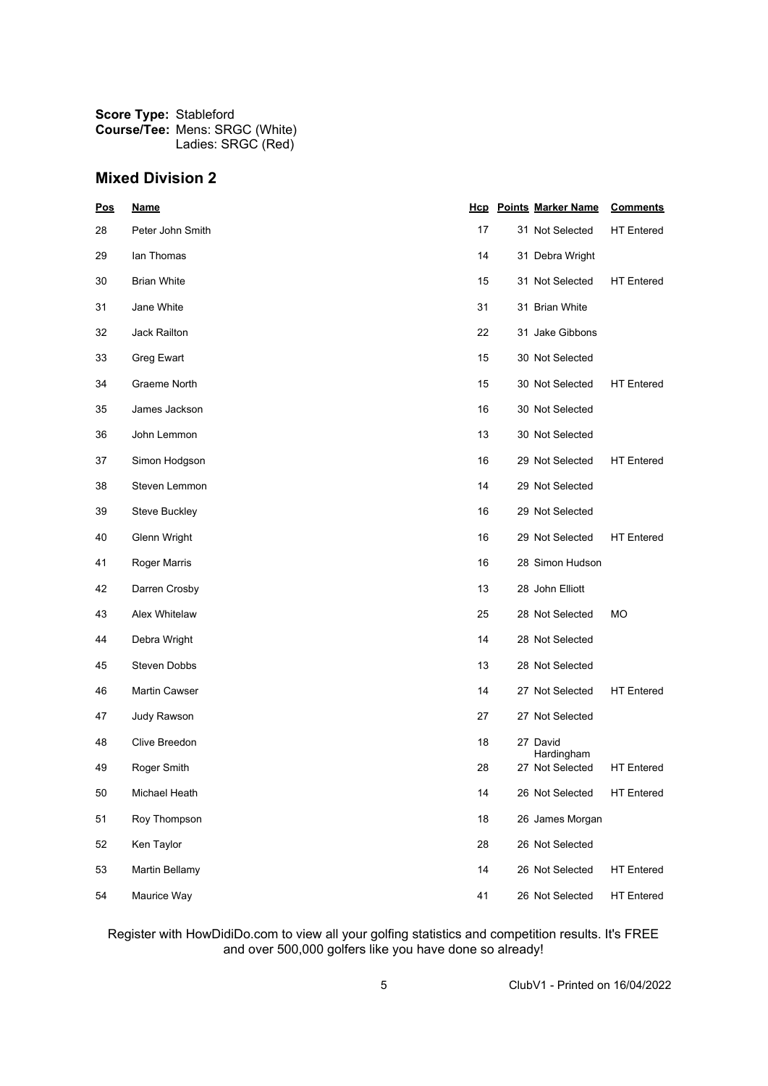| Pos | <u>Name</u>        |    | <b>Hcp</b> Points Marker Name | <b>Comments</b>   |
|-----|--------------------|----|-------------------------------|-------------------|
| 28  | Peter John Smith   | 17 | 31 Not Selected               | <b>HT</b> Entered |
| 29  | lan Thomas         | 14 | 31 Debra Wright               |                   |
| 30  | <b>Brian White</b> | 15 | 31 Not Selected               | <b>HT</b> Entered |
| 31  | Jane White         | 31 | 31 Brian White                |                   |
| 32  | Jack Railton       | 22 | 31 Jake Gibbons               |                   |
| 33  | Greg Ewart         | 15 | 30 Not Selected               |                   |
| 34  | Graeme North       | 15 | 30 Not Selected               | <b>HT</b> Entered |
| 35  | James Jackson      | 16 | 30 Not Selected               |                   |
| 36  | John Lemmon        | 13 | 30 Not Selected               |                   |
| 37  | Simon Hodgson      | 16 | 29 Not Selected               | <b>HT</b> Entered |
| 38  | Steven Lemmon      | 14 | 29 Not Selected               |                   |
| 39  | Steve Buckley      | 16 | 29 Not Selected               |                   |
| 40  | Glenn Wright       | 16 | 29 Not Selected               | <b>HT</b> Entered |
| 41  | Roger Marris       | 16 | 28 Simon Hudson               |                   |
| 42  | Darren Crosby      | 13 | 28 John Elliott               |                   |
| 43  | Alex Whitelaw      | 25 | 28 Not Selected               | МO                |
| 44  | Debra Wright       | 14 | 28 Not Selected               |                   |
| 45  | Steven Dobbs       | 13 | 28 Not Selected               |                   |
| 46  | Martin Cawser      | 14 | 27 Not Selected               | <b>HT</b> Entered |
| 47  | Judy Rawson        | 27 | 27 Not Selected               |                   |
| 48  | Clive Breedon      | 18 | 27 David                      |                   |
| 49  | Roger Smith        | 28 | Hardingham<br>27 Not Selected | <b>HT</b> Entered |
| 50  | Michael Heath      | 14 | 26 Not Selected               | <b>HT Entered</b> |
| 51  | Roy Thompson       | 18 | 26 James Morgan               |                   |
| 52  | Ken Taylor         | 28 | 26 Not Selected               |                   |
| 53  | Martin Bellamy     | 14 | 26 Not Selected               | <b>HT Entered</b> |
| 54  | Maurice Way        | 41 | 26 Not Selected               | <b>HT Entered</b> |